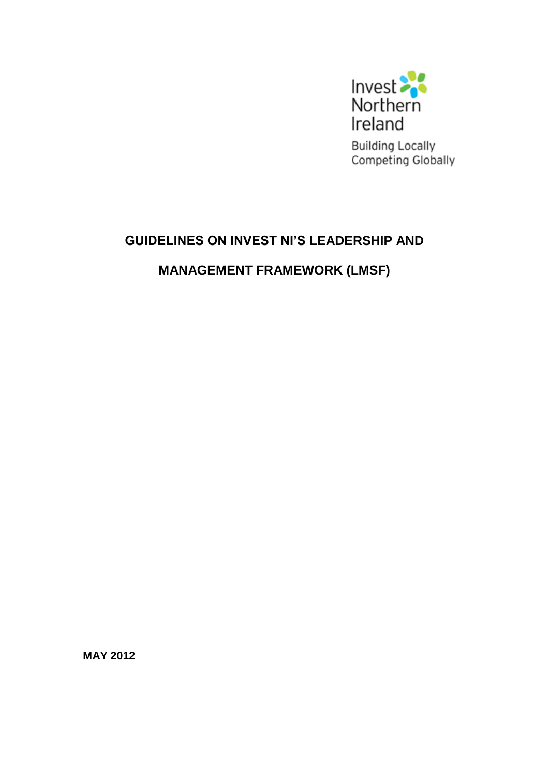

**Building Locally** Competing Globally

## **GUIDELINES ON INVEST NI'S LEADERSHIP AND**

**MANAGEMENT FRAMEWORK (LMSF)**

**MAY 2012**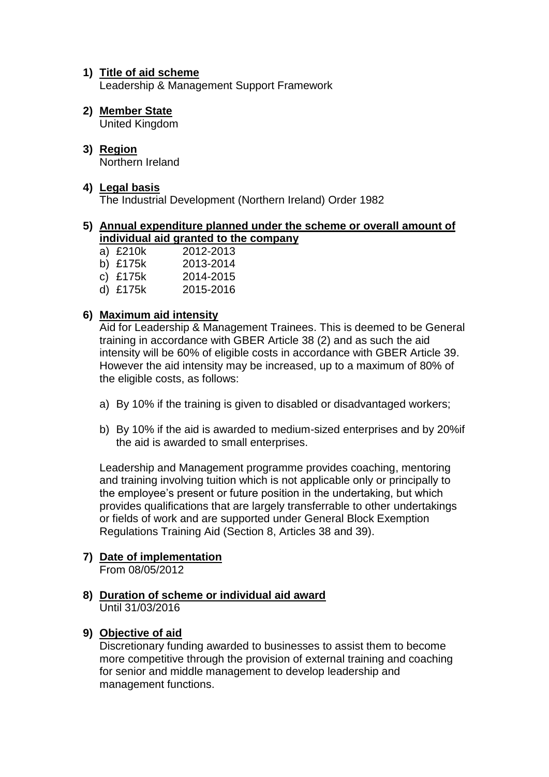#### **1) Title of aid scheme**

Leadership & Management Support Framework

### **2) Member State**

United Kingdom

#### **3) Region** Northern Ireland

#### **4) Legal basis**

The Industrial Development (Northern Ireland) Order 1982

#### **5) Annual expenditure planned under the scheme or overall amount of individual aid granted to the company**

a) £210k 2012-2013 b) £175k 2013-2014 c) £175k 2014-2015 d) £175k 2015-2016

#### **6) Maximum aid intensity**

Aid for Leadership & Management Trainees. This is deemed to be General training in accordance with GBER Article 38 (2) and as such the aid intensity will be 60% of eligible costs in accordance with GBER Article 39. However the aid intensity may be increased, up to a maximum of 80% of the eligible costs, as follows:

- a) By 10% if the training is given to disabled or disadvantaged workers;
- b) By 10% if the aid is awarded to medium-sized enterprises and by 20%if the aid is awarded to small enterprises.

Leadership and Management programme provides coaching, mentoring and training involving tuition which is not applicable only or principally to the employee's present or future position in the undertaking, but which provides qualifications that are largely transferrable to other undertakings or fields of work and are supported under General Block Exemption Regulations Training Aid (Section 8, Articles 38 and 39).

# **7) Date of implementation**

From 08/05/2012

**8) Duration of scheme or individual aid award** Until 31/03/2016

#### **9) Objective of aid**

Discretionary funding awarded to businesses to assist them to become more competitive through the provision of external training and coaching for senior and middle management to develop leadership and management functions.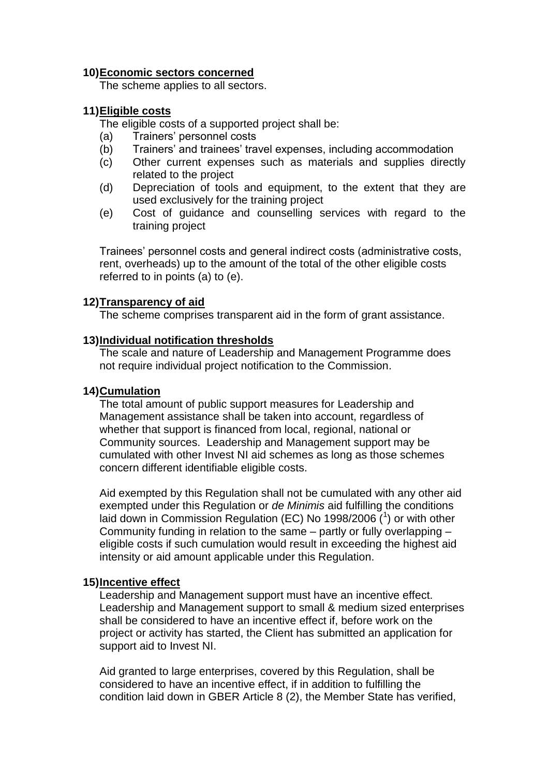#### **10)Economic sectors concerned**

The scheme applies to all sectors.

#### **11)Eligible costs**

The eligible costs of a supported project shall be:

- (a) Trainers' personnel costs
- (b) Trainers' and trainees' travel expenses, including accommodation
- (c) Other current expenses such as materials and supplies directly related to the project
- (d) Depreciation of tools and equipment, to the extent that they are used exclusively for the training project
- (e) Cost of guidance and counselling services with regard to the training project

Trainees' personnel costs and general indirect costs (administrative costs, rent, overheads) up to the amount of the total of the other eligible costs referred to in points (a) to (e).

#### **12)Transparency of aid**

The scheme comprises transparent aid in the form of grant assistance.

#### **13)Individual notification thresholds**

The scale and nature of Leadership and Management Programme does not require individual project notification to the Commission.

#### **14)Cumulation**

The total amount of public support measures for Leadership and Management assistance shall be taken into account, regardless of whether that support is financed from local, regional, national or Community sources. Leadership and Management support may be cumulated with other Invest NI aid schemes as long as those schemes concern different identifiable eligible costs.

Aid exempted by this Regulation shall not be cumulated with any other aid exempted under this Regulation or *de Minimis* aid fulfilling the conditions laid down in Commission Regulation (EC) No 1998/2006  $(1)$  or with other Community funding in relation to the same – partly or fully overlapping – eligible costs if such cumulation would result in exceeding the highest aid intensity or aid amount applicable under this Regulation.

#### **15)Incentive effect**

Leadership and Management support must have an incentive effect. Leadership and Management support to small & medium sized enterprises shall be considered to have an incentive effect if, before work on the project or activity has started, the Client has submitted an application for support aid to Invest NI.

Aid granted to large enterprises, covered by this Regulation, shall be considered to have an incentive effect, if in addition to fulfilling the condition laid down in GBER Article 8 (2), the Member State has verified,